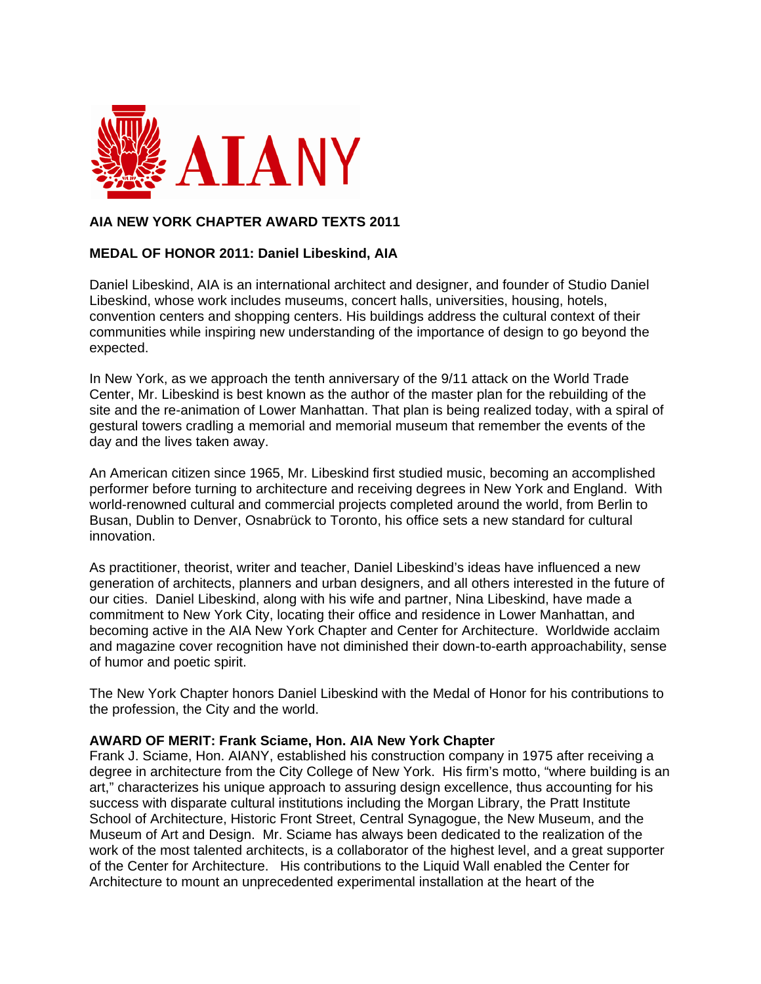

# **AIA NEW YORK CHAPTER AWARD TEXTS 2011**

## **MEDAL OF HONOR 2011: Daniel Libeskind, AIA**

Daniel Libeskind, AIA is an international architect and designer, and founder of Studio Daniel Libeskind, whose work includes museums, concert halls, universities, housing, hotels, convention centers and shopping centers. His buildings address the cultural context of their communities while inspiring new understanding of the importance of design to go beyond the expected.

In New York, as we approach the tenth anniversary of the 9/11 attack on the World Trade Center, Mr. Libeskind is best known as the author of the master plan for the rebuilding of the site and the re-animation of Lower Manhattan. That plan is being realized today, with a spiral of gestural towers cradling a memorial and memorial museum that remember the events of the day and the lives taken away.

An American citizen since 1965, Mr. Libeskind first studied music, becoming an accomplished performer before turning to architecture and receiving degrees in New York and England. With world-renowned cultural and commercial projects completed around the world, from Berlin to Busan, Dublin to Denver, Osnabrück to Toronto, his office sets a new standard for cultural innovation.

As practitioner, theorist, writer and teacher, Daniel Libeskind's ideas have influenced a new generation of architects, planners and urban designers, and all others interested in the future of our cities. Daniel Libeskind, along with his wife and partner, Nina Libeskind, have made a commitment to New York City, locating their office and residence in Lower Manhattan, and becoming active in the AIA New York Chapter and Center for Architecture. Worldwide acclaim and magazine cover recognition have not diminished their down-to-earth approachability, sense of humor and poetic spirit.

The New York Chapter honors Daniel Libeskind with the Medal of Honor for his contributions to the profession, the City and the world.

#### **AWARD OF MERIT: Frank Sciame, Hon. AIA New York Chapter**

Frank J. Sciame, Hon. AIANY, established his construction company in 1975 after receiving a degree in architecture from the City College of New York. His firm's motto, "where building is an art," characterizes his unique approach to assuring design excellence, thus accounting for his success with disparate cultural institutions including the Morgan Library, the Pratt Institute School of Architecture, Historic Front Street, Central Synagogue, the New Museum, and the Museum of Art and Design. Mr. Sciame has always been dedicated to the realization of the work of the most talented architects, is a collaborator of the highest level, and a great supporter of the Center for Architecture. His contributions to the Liquid Wall enabled the Center for Architecture to mount an unprecedented experimental installation at the heart of the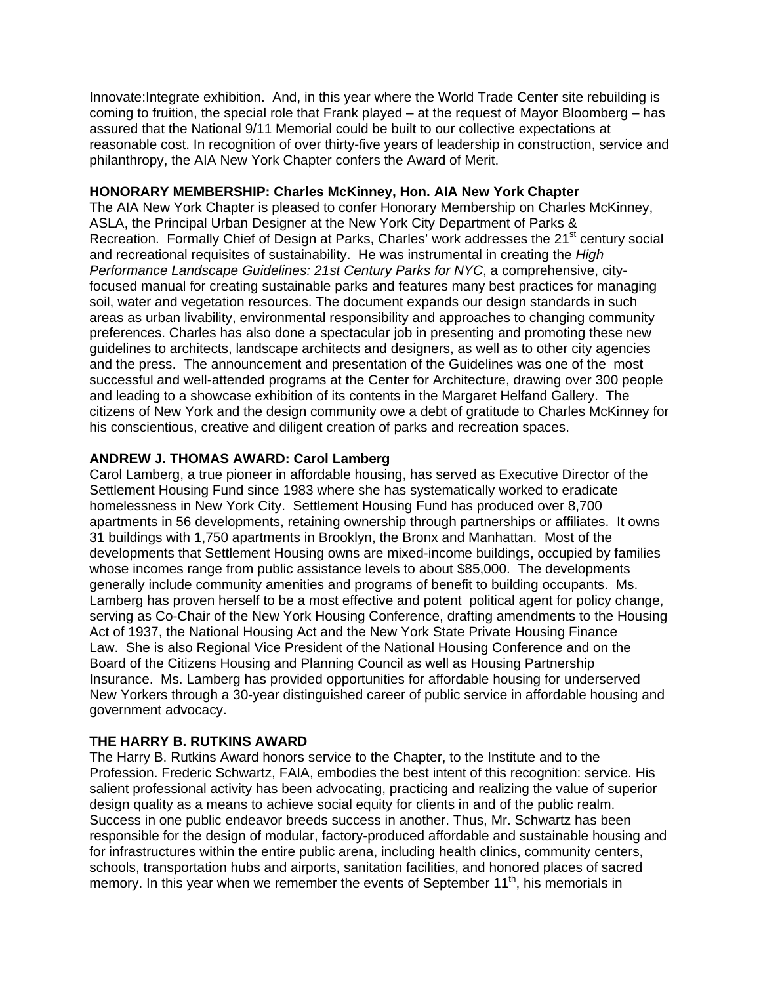Innovate:Integrate exhibition. And, in this year where the World Trade Center site rebuilding is coming to fruition, the special role that Frank played – at the request of Mayor Bloomberg – has assured that the National 9/11 Memorial could be built to our collective expectations at reasonable cost. In recognition of over thirty-five years of leadership in construction, service and philanthropy, the AIA New York Chapter confers the Award of Merit.

### **HONORARY MEMBERSHIP: Charles McKinney, Hon. AIA New York Chapter**

The AIA New York Chapter is pleased to confer Honorary Membership on Charles McKinney, ASLA, the Principal Urban Designer at the New York City Department of Parks & Recreation. Formally Chief of Design at Parks, Charles' work addresses the 21<sup>st</sup> century social and recreational requisites of sustainability. He was instrumental in creating the *High Performance Landscape Guidelines: 21st Century Parks for NYC*, a comprehensive, cityfocused manual for creating sustainable parks and features many best practices for managing soil, water and vegetation resources. The document expands our design standards in such areas as urban livability, environmental responsibility and approaches to changing community preferences. Charles has also done a spectacular job in presenting and promoting these new guidelines to architects, landscape architects and designers, as well as to other city agencies and the press. The announcement and presentation of the Guidelines was one of the most successful and well-attended programs at the Center for Architecture, drawing over 300 people and leading to a showcase exhibition of its contents in the Margaret Helfand Gallery. The citizens of New York and the design community owe a debt of gratitude to Charles McKinney for his conscientious, creative and diligent creation of parks and recreation spaces.

## **ANDREW J. THOMAS AWARD: Carol Lamberg**

Carol Lamberg, a true pioneer in affordable housing, has served as Executive Director of the Settlement Housing Fund since 1983 where she has systematically worked to eradicate homelessness in New York City. Settlement Housing Fund has produced over 8,700 apartments in 56 developments, retaining ownership through partnerships or affiliates. It owns 31 buildings with 1,750 apartments in Brooklyn, the Bronx and Manhattan. Most of the developments that Settlement Housing owns are mixed-income buildings, occupied by families whose incomes range from public assistance levels to about \$85,000. The developments generally include community amenities and programs of benefit to building occupants. Ms. Lamberg has proven herself to be a most effective and potent political agent for policy change, serving as Co-Chair of the New York Housing Conference, drafting amendments to the Housing Act of 1937, the National Housing Act and the New York State Private Housing Finance Law. She is also Regional Vice President of the National Housing Conference and on the Board of the Citizens Housing and Planning Council as well as Housing Partnership Insurance. Ms. Lamberg has provided opportunities for affordable housing for underserved New Yorkers through a 30-year distinguished career of public service in affordable housing and government advocacy.

## **THE HARRY B. RUTKINS AWARD**

The Harry B. Rutkins Award honors service to the Chapter, to the Institute and to the Profession. Frederic Schwartz, FAIA, embodies the best intent of this recognition: service. His salient professional activity has been advocating, practicing and realizing the value of superior design quality as a means to achieve social equity for clients in and of the public realm. Success in one public endeavor breeds success in another. Thus, Mr. Schwartz has been responsible for the design of modular, factory-produced affordable and sustainable housing and for infrastructures within the entire public arena, including health clinics, community centers, schools, transportation hubs and airports, sanitation facilities, and honored places of sacred memory. In this year when we remember the events of September  $11<sup>th</sup>$ , his memorials in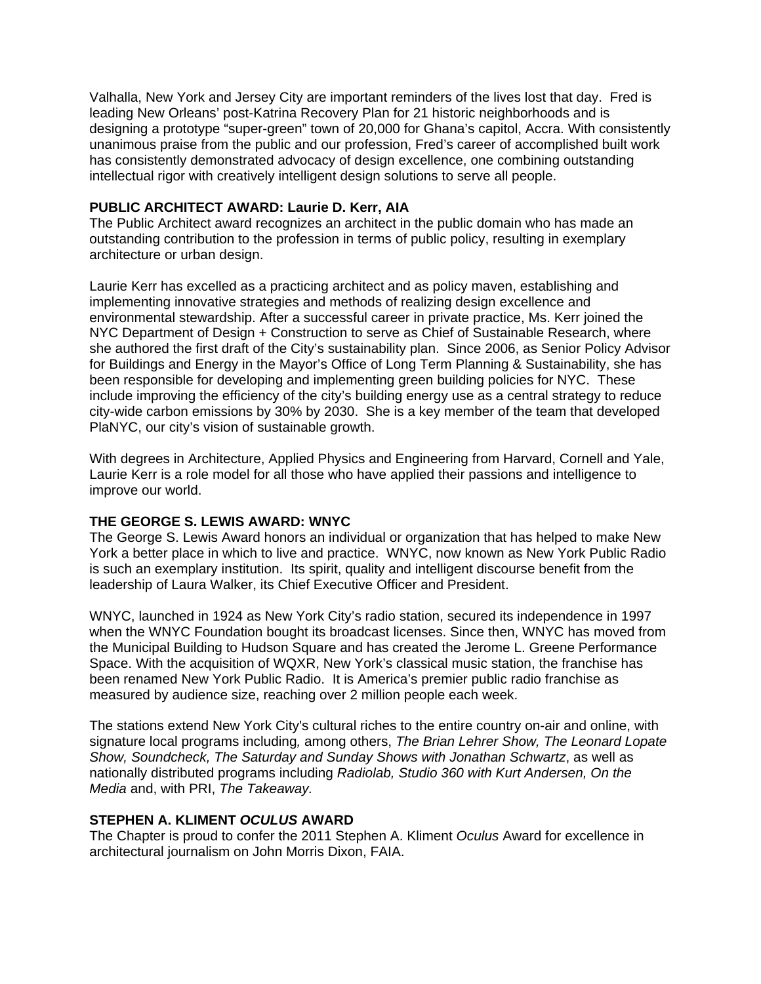Valhalla, New York and Jersey City are important reminders of the lives lost that day. Fred is leading New Orleans' post-Katrina Recovery Plan for 21 historic neighborhoods and is designing a prototype "super-green" town of 20,000 for Ghana's capitol, Accra. With consistently unanimous praise from the public and our profession, Fred's career of accomplished built work has consistently demonstrated advocacy of design excellence, one combining outstanding intellectual rigor with creatively intelligent design solutions to serve all people.

## **PUBLIC ARCHITECT AWARD: Laurie D. Kerr, AIA**

The Public Architect award recognizes an architect in the public domain who has made an outstanding contribution to the profession in terms of public policy, resulting in exemplary architecture or urban design.

Laurie Kerr has excelled as a practicing architect and as policy maven, establishing and implementing innovative strategies and methods of realizing design excellence and environmental stewardship. After a successful career in private practice, Ms. Kerr joined the NYC Department of Design + Construction to serve as Chief of Sustainable Research, where she authored the first draft of the City's sustainability plan. Since 2006, as Senior Policy Advisor for Buildings and Energy in the Mayor's Office of Long Term Planning & Sustainability, she has been responsible for developing and implementing green building policies for NYC. These include improving the efficiency of the city's building energy use as a central strategy to reduce city-wide carbon emissions by 30% by 2030. She is a key member of the team that developed PlaNYC, our city's vision of sustainable growth.

With degrees in Architecture, Applied Physics and Engineering from Harvard, Cornell and Yale, Laurie Kerr is a role model for all those who have applied their passions and intelligence to improve our world.

## **THE GEORGE S. LEWIS AWARD: WNYC**

The George S. Lewis Award honors an individual or organization that has helped to make New York a better place in which to live and practice. WNYC, now known as New York Public Radio is such an exemplary institution. Its spirit, quality and intelligent discourse benefit from the leadership of Laura Walker, its Chief Executive Officer and President.

WNYC, launched in 1924 as New York City's radio station, secured its independence in 1997 when the WNYC Foundation bought its broadcast licenses. Since then, WNYC has moved from the Municipal Building to Hudson Square and has created the Jerome L. Greene Performance Space. With the acquisition of WQXR, New York's classical music station, the franchise has been renamed New York Public Radio. It is America's premier public radio franchise as measured by audience size, reaching over 2 million people each week.

The stations extend New York City's cultural riches to the entire country on-air and online, with signature local programs including*,* among others, *The Brian Lehrer Show, The Leonard Lopate Show, Soundcheck, The Saturday and Sunday Shows with Jonathan Schwartz*, as well as nationally distributed programs including *Radiolab, Studio 360 with Kurt Andersen, On the Media* and, with PRI, *The Takeaway.*

## **STEPHEN A. KLIMENT** *OCULUS* **AWARD**

The Chapter is proud to confer the 2011 Stephen A. Kliment *Oculus* Award for excellence in architectural journalism on John Morris Dixon, FAIA.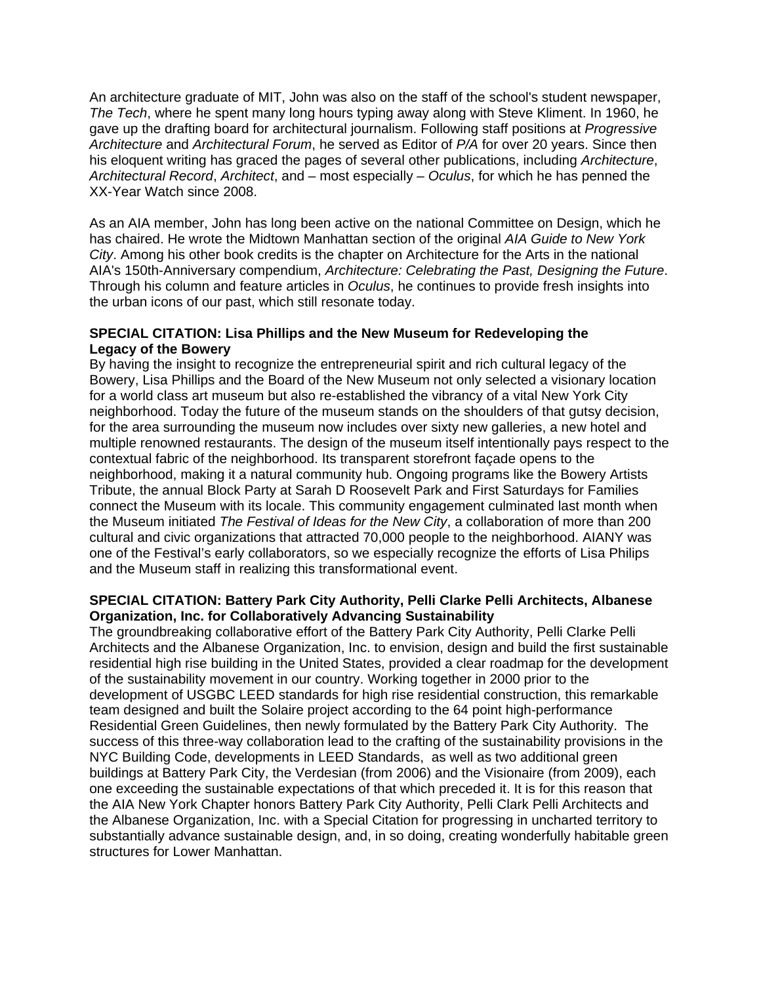An architecture graduate of MIT, John was also on the staff of the school's student newspaper, *The Tech*, where he spent many long hours typing away along with Steve Kliment. In 1960, he gave up the drafting board for architectural journalism. Following staff positions at *Progressive Architecture* and *Architectural Forum*, he served as Editor of *P/A* for over 20 years. Since then his eloquent writing has graced the pages of several other publications, including *Architecture*, *Architectural Record*, *Architect*, and – most especially – *Oculus*, for which he has penned the XX-Year Watch since 2008.

As an AIA member, John has long been active on the national Committee on Design, which he has chaired. He wrote the Midtown Manhattan section of the original *AIA Guide to New York City*. Among his other book credits is the chapter on Architecture for the Arts in the national AIA's 150th-Anniversary compendium, *Architecture: Celebrating the Past, Designing the Future*. Through his column and feature articles in *Oculus*, he continues to provide fresh insights into the urban icons of our past, which still resonate today.

### **SPECIAL CITATION: Lisa Phillips and the New Museum for Redeveloping the Legacy of the Bowery**

By having the insight to recognize the entrepreneurial spirit and rich cultural legacy of the Bowery, Lisa Phillips and the Board of the New Museum not only selected a visionary location for a world class art museum but also re-established the vibrancy of a vital New York City neighborhood. Today the future of the museum stands on the shoulders of that gutsy decision, for the area surrounding the museum now includes over sixty new galleries, a new hotel and multiple renowned restaurants. The design of the museum itself intentionally pays respect to the contextual fabric of the neighborhood. Its transparent storefront façade opens to the neighborhood, making it a natural community hub. Ongoing programs like the Bowery Artists Tribute, the annual Block Party at Sarah D Roosevelt Park and First Saturdays for Families connect the Museum with its locale. This community engagement culminated last month when the Museum initiated *The Festival of Ideas for the New City*, a collaboration of more than 200 cultural and civic organizations that attracted 70,000 people to the neighborhood. AIANY was one of the Festival's early collaborators, so we especially recognize the efforts of Lisa Philips and the Museum staff in realizing this transformational event.

### **SPECIAL CITATION: Battery Park City Authority, Pelli Clarke Pelli Architects, Albanese Organization, Inc. for Collaboratively Advancing Sustainability**

The groundbreaking collaborative effort of the Battery Park City Authority, Pelli Clarke Pelli Architects and the Albanese Organization, Inc. to envision, design and build the first sustainable residential high rise building in the United States, provided a clear roadmap for the development of the sustainability movement in our country. Working together in 2000 prior to the development of USGBC LEED standards for high rise residential construction, this remarkable team designed and built the Solaire project according to the 64 point high-performance Residential Green Guidelines, then newly formulated by the Battery Park City Authority. The success of this three-way collaboration lead to the crafting of the sustainability provisions in the NYC Building Code, developments in LEED Standards, as well as two additional green buildings at Battery Park City, the Verdesian (from 2006) and the Visionaire (from 2009), each one exceeding the sustainable expectations of that which preceded it. It is for this reason that the AIA New York Chapter honors Battery Park City Authority, Pelli Clark Pelli Architects and the Albanese Organization, Inc. with a Special Citation for progressing in uncharted territory to substantially advance sustainable design, and, in so doing, creating wonderfully habitable green structures for Lower Manhattan.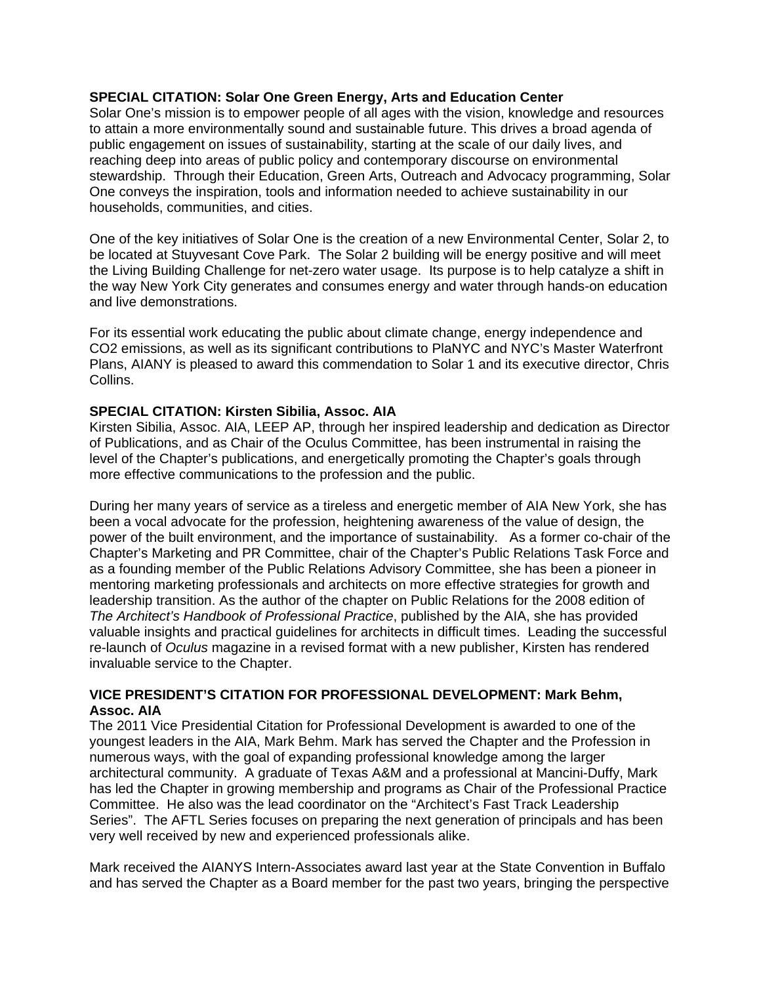#### **SPECIAL CITATION: Solar One Green Energy, Arts and Education Center**

Solar One's mission is to empower people of all ages with the vision, knowledge and resources to attain a more environmentally sound and sustainable future. This drives a broad agenda of public engagement on issues of sustainability, starting at the scale of our daily lives, and reaching deep into areas of public policy and contemporary discourse on environmental stewardship. Through their Education, Green Arts, Outreach and Advocacy programming, Solar One conveys the inspiration, tools and information needed to achieve sustainability in our households, communities, and cities.

One of the key initiatives of Solar One is the creation of a new Environmental Center, Solar 2, to be located at Stuyvesant Cove Park. The Solar 2 building will be energy positive and will meet the Living Building Challenge for net-zero water usage. Its purpose is to help catalyze a shift in the way New York City generates and consumes energy and water through hands-on education and live demonstrations.

For its essential work educating the public about climate change, energy independence and CO2 emissions, as well as its significant contributions to PlaNYC and NYC's Master Waterfront Plans, AIANY is pleased to award this commendation to Solar 1 and its executive director, Chris Collins.

### **SPECIAL CITATION: Kirsten Sibilia, Assoc. AIA**

Kirsten Sibilia, Assoc. AIA, LEEP AP, through her inspired leadership and dedication as Director of Publications, and as Chair of the Oculus Committee, has been instrumental in raising the level of the Chapter's publications, and energetically promoting the Chapter's goals through more effective communications to the profession and the public.

During her many years of service as a tireless and energetic member of AIA New York, she has been a vocal advocate for the profession, heightening awareness of the value of design, the power of the built environment, and the importance of sustainability. As a former co-chair of the Chapter's Marketing and PR Committee, chair of the Chapter's Public Relations Task Force and as a founding member of the Public Relations Advisory Committee, she has been a pioneer in mentoring marketing professionals and architects on more effective strategies for growth and leadership transition. As the author of the chapter on Public Relations for the 2008 edition of *The Architect's Handbook of Professional Practice*, published by the AIA, she has provided valuable insights and practical guidelines for architects in difficult times. Leading the successful re-launch of *Oculus* magazine in a revised format with a new publisher, Kirsten has rendered invaluable service to the Chapter.

### **VICE PRESIDENT'S CITATION FOR PROFESSIONAL DEVELOPMENT: Mark Behm, Assoc. AIA**

The 2011 Vice Presidential Citation for Professional Development is awarded to one of the youngest leaders in the AIA, Mark Behm. Mark has served the Chapter and the Profession in numerous ways, with the goal of expanding professional knowledge among the larger architectural community. A graduate of Texas A&M and a professional at Mancini-Duffy, Mark has led the Chapter in growing membership and programs as Chair of the Professional Practice Committee. He also was the lead coordinator on the "Architect's Fast Track Leadership Series". The AFTL Series focuses on preparing the next generation of principals and has been very well received by new and experienced professionals alike.

Mark received the AIANYS Intern-Associates award last year at the State Convention in Buffalo and has served the Chapter as a Board member for the past two years, bringing the perspective